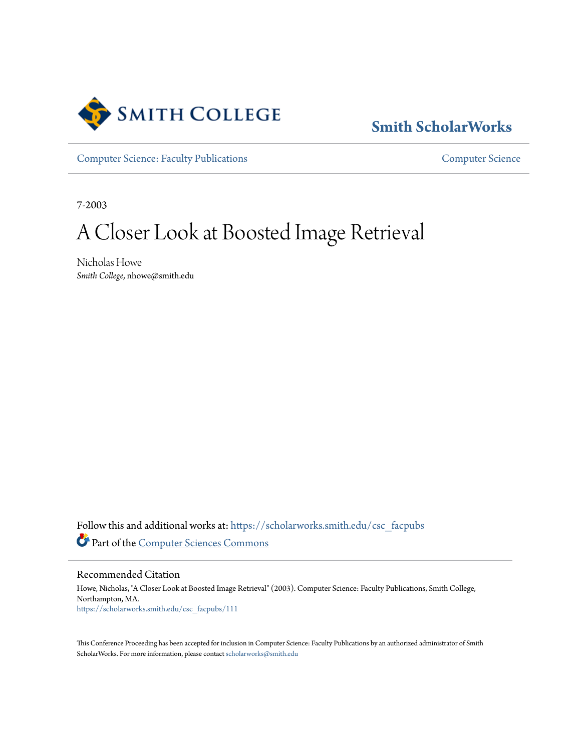

# **[Smith ScholarWorks](https://scholarworks.smith.edu/?utm_source=scholarworks.smith.edu%2Fcsc_facpubs%2F111&utm_medium=PDF&utm_campaign=PDFCoverPages)**

[Computer Science: Faculty Publications](https://scholarworks.smith.edu/csc_facpubs?utm_source=scholarworks.smith.edu%2Fcsc_facpubs%2F111&utm_medium=PDF&utm_campaign=PDFCoverPages) [Computer Science](https://scholarworks.smith.edu/csc?utm_source=scholarworks.smith.edu%2Fcsc_facpubs%2F111&utm_medium=PDF&utm_campaign=PDFCoverPages)

7-2003

# A Closer Look at Boosted Image Retrieval

Nicholas Howe *Smith College*, nhowe@smith.edu

Follow this and additional works at: [https://scholarworks.smith.edu/csc\\_facpubs](https://scholarworks.smith.edu/csc_facpubs?utm_source=scholarworks.smith.edu%2Fcsc_facpubs%2F111&utm_medium=PDF&utm_campaign=PDFCoverPages) Part of the [Computer Sciences Commons](http://network.bepress.com/hgg/discipline/142?utm_source=scholarworks.smith.edu%2Fcsc_facpubs%2F111&utm_medium=PDF&utm_campaign=PDFCoverPages)

Recommended Citation

Howe, Nicholas, "A Closer Look at Boosted Image Retrieval" (2003). Computer Science: Faculty Publications, Smith College, Northampton, MA. [https://scholarworks.smith.edu/csc\\_facpubs/111](https://scholarworks.smith.edu/csc_facpubs/111?utm_source=scholarworks.smith.edu%2Fcsc_facpubs%2F111&utm_medium=PDF&utm_campaign=PDFCoverPages)

This Conference Proceeding has been accepted for inclusion in Computer Science: Faculty Publications by an authorized administrator of Smith ScholarWorks. For more information, please contact [scholarworks@smith.edu](mailto:scholarworks@smith.edu)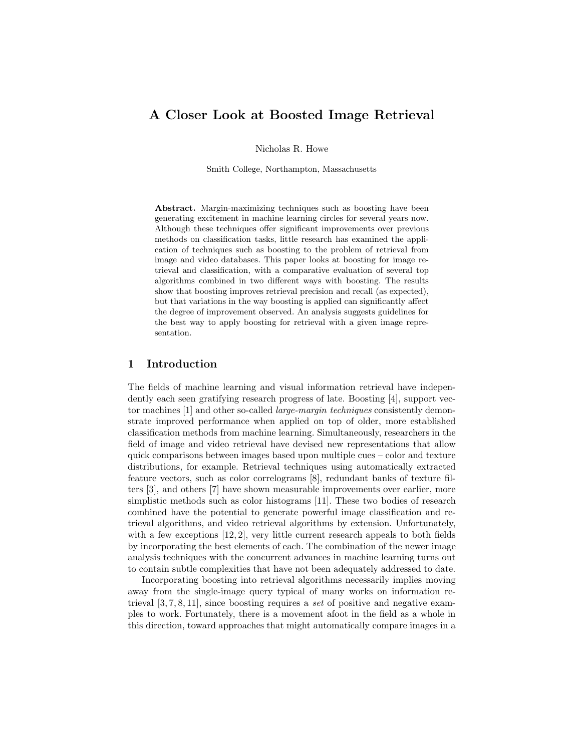# A Closer Look at Boosted Image Retrieval

Nicholas R. Howe

Smith College, Northampton, Massachusetts

Abstract. Margin-maximizing techniques such as boosting have been generating excitement in machine learning circles for several years now. Although these techniques offer significant improvements over previous methods on classification tasks, little research has examined the application of techniques such as boosting to the problem of retrieval from image and video databases. This paper looks at boosting for image retrieval and classification, with a comparative evaluation of several top algorithms combined in two different ways with boosting. The results show that boosting improves retrieval precision and recall (as expected), but that variations in the way boosting is applied can significantly affect the degree of improvement observed. An analysis suggests guidelines for the best way to apply boosting for retrieval with a given image representation.

# 1 Introduction

The fields of machine learning and visual information retrieval have independently each seen gratifying research progress of late. Boosting [4], support vector machines [1] and other so-called large-margin techniques consistently demonstrate improved performance when applied on top of older, more established classification methods from machine learning. Simultaneously, researchers in the field of image and video retrieval have devised new representations that allow quick comparisons between images based upon multiple cues  $-$  color and texture distributions, for example. Retrieval techniques using automatically extracted feature vectors, such as color correlograms [8], redundant banks of texture filters [3], and others [7] have shown measurable improvements over earlier, more simplistic methods such as color histograms [11]. These two bodies of research combined have the potential to generate powerful image classification and retrieval algorithms, and video retrieval algorithms by extension. Unfortunately, with a few exceptions  $[12, 2]$ , very little current research appeals to both fields by incorporating the best elements of each. The combination of the newer image analysis techniques with the concurrent advances in machine learning turns out to contain subtle complexities that have not been adequately addressed to date.

Incorporating boosting into retrieval algorithms necessarily implies moving away from the single-image query typical of many works on information retrieval  $[3, 7, 8, 11]$ , since boosting requires a set of positive and negative examples to work. Fortunately, there is a movement afoot in the field as a whole in this direction, toward approaches that might automatically compare images in a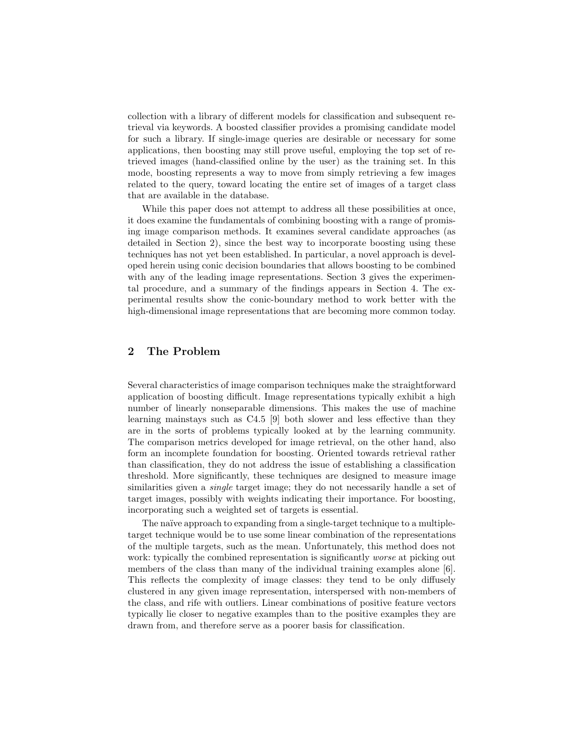collection with a library of different models for classification and subsequent retrieval via keywords. A boosted classifier provides a promising candidate model for such a library. If single-image queries are desirable or necessary for some applications, then boosting may still prove useful, employing the top set of retrieved images (hand-classified online by the user) as the training set. In this mode, boosting represents a way to move from simply retrieving a few images related to the query, toward locating the entire set of images of a target class that are available in the database.

While this paper does not attempt to address all these possibilities at once, it does examine the fundamentals of combining boosting with a range of promising image comparison methods. It examines several candidate approaches (as detailed in Section 2), since the best way to incorporate boosting using these techniques has not yet been established. In particular, a novel approach is developed herein using conic decision boundaries that allows boosting to be combined with any of the leading image representations. Section 3 gives the experimental procedure, and a summary of the findings appears in Section 4. The experimental results show the conic-boundary method to work better with the high-dimensional image representations that are becoming more common today.

# 2 The Problem

Several characteristics of image comparison techniques make the straightforward application of boosting difficult. Image representations typically exhibit a high number of linearly nonseparable dimensions. This makes the use of machine learning mainstays such as C4.5 [9] both slower and less effective than they are in the sorts of problems typically looked at by the learning community. The comparison metrics developed for image retrieval, on the other hand, also form an incomplete foundation for boosting. Oriented towards retrieval rather than classification, they do not address the issue of establishing a classification threshold. More significantly, these techniques are designed to measure image similarities given a *single* target image; they do not necessarily handle a set of target images, possibly with weights indicating their importance. For boosting, incorporating such a weighted set of targets is essential.

The naïve approach to expanding from a single-target technique to a multipletarget technique would be to use some linear combination of the representations of the multiple targets, such as the mean. Unfortunately, this method does not work: typically the combined representation is significantly *worse* at picking out members of the class than many of the individual training examples alone [6]. This reflects the complexity of image classes: they tend to be only diffusely clustered in any given image representation, interspersed with non-members of the class, and rife with outliers. Linear combinations of positive feature vectors typically lie closer to negative examples than to the positive examples they are drawn from, and therefore serve as a poorer basis for classification.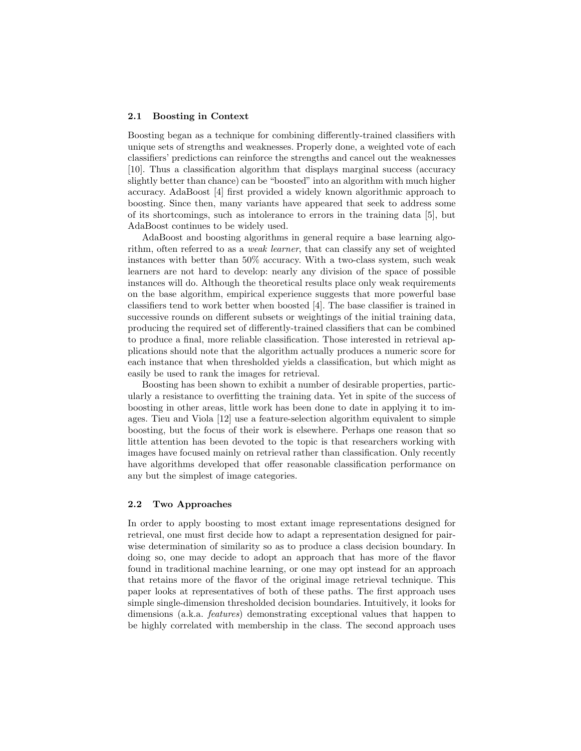#### 2.1 Boosting in Context

Boosting began as a technique for combining differently-trained classifiers with unique sets of strengths and weaknesses. Properly done, a weighted vote of each classifiers' predictions can reinforce the strengths and cancel out the weaknesses [10]. Thus a classification algorithm that displays marginal success (accuracy slightly better than chance) can be "boosted" into an algorithm with much higher accuracy. AdaBoost [4] first provided a widely known algorithmic approach to boosting. Since then, many variants have appeared that seek to address some of its shortcomings, such as intolerance to errors in the training data [5], but AdaBoost continues to be widely used.

AdaBoost and boosting algorithms in general require a base learning algorithm, often referred to as a weak learner, that can classify any set of weighted instances with better than 50% accuracy. With a two-class system, such weak learners are not hard to develop: nearly any division of the space of possible instances will do. Although the theoretical results place only weak requirements on the base algorithm, empirical experience suggests that more powerful base classifiers tend to work better when boosted [4]. The base classifier is trained in successive rounds on different subsets or weightings of the initial training data, producing the required set of differently-trained classifiers that can be combined to produce a final, more reliable classification. Those interested in retrieval applications should note that the algorithm actually produces a numeric score for each instance that when thresholded yields a classification, but which might as easily be used to rank the images for retrieval.

Boosting has been shown to exhibit a number of desirable properties, particularly a resistance to overfitting the training data. Yet in spite of the success of boosting in other areas, little work has been done to date in applying it to images. Tieu and Viola [12] use a feature-selection algorithm equivalent to simple boosting, but the focus of their work is elsewhere. Perhaps one reason that so little attention has been devoted to the topic is that researchers working with images have focused mainly on retrieval rather than classification. Only recently have algorithms developed that offer reasonable classification performance on any but the simplest of image categories.

# 2.2 Two Approaches

In order to apply boosting to most extant image representations designed for retrieval, one must first decide how to adapt a representation designed for pairwise determination of similarity so as to produce a class decision boundary. In doing so, one may decide to adopt an approach that has more of the flavor found in traditional machine learning, or one may opt instead for an approach that retains more of the flavor of the original image retrieval technique. This paper looks at representatives of both of these paths. The first approach uses simple single-dimension thresholded decision boundaries. Intuitively, it looks for dimensions (a.k.a. *features*) demonstrating exceptional values that happen to be highly correlated with membership in the class. The second approach uses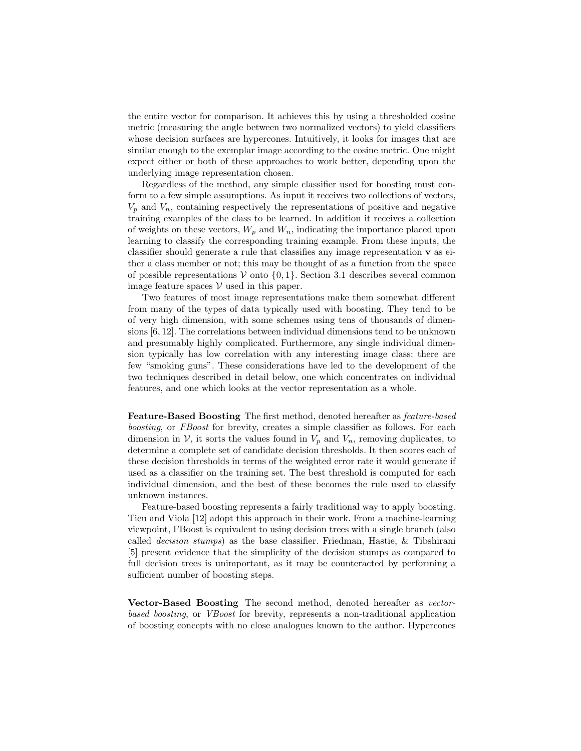the entire vector for comparison. It achieves this by using a thresholded cosine metric (measuring the angle between two normalized vectors) to yield classifiers whose decision surfaces are hypercones. Intuitively, it looks for images that are similar enough to the exemplar image according to the cosine metric. One might expect either or both of these approaches to work better, depending upon the underlying image representation chosen.

Regardless of the method, any simple classifier used for boosting must conform to a few simple assumptions. As input it receives two collections of vectors,  $V_p$  and  $V_n$ , containing respectively the representations of positive and negative training examples of the class to be learned. In addition it receives a collection of weights on these vectors,  $W_p$  and  $W_n$ , indicating the importance placed upon learning to classify the corresponding training example. From these inputs, the classifier should generate a rule that classifies any image representation  $\bf{v}$  as either a class member or not; this may be thought of as a function from the space of possible representations  $V$  onto  $\{0, 1\}$ . Section 3.1 describes several common image feature spaces  $V$  used in this paper.

Two features of most image representations make them somewhat different from many of the types of data typically used with boosting. They tend to be of very high dimension, with some schemes using tens of thousands of dimensions [6, 12]. The correlations between individual dimensions tend to be unknown and presumably highly complicated. Furthermore, any single individual dimension typically has low correlation with any interesting image class: there are few "smoking guns". These considerations have led to the development of the two techniques described in detail below, one which concentrates on individual features, and one which looks at the vector representation as a whole.

Feature-Based Boosting The first method, denoted hereafter as feature-based boosting, or FBoost for brevity, creates a simple classifier as follows. For each dimension in V, it sorts the values found in  $V_p$  and  $V_n$ , removing duplicates, to determine a complete set of candidate decision thresholds. It then scores each of these decision thresholds in terms of the weighted error rate it would generate if used as a classifier on the training set. The best threshold is computed for each individual dimension, and the best of these becomes the rule used to classify unknown instances.

Feature-based boosting represents a fairly traditional way to apply boosting. Tieu and Viola [12] adopt this approach in their work. From a machine-learning viewpoint, FBoost is equivalent to using decision trees with a single branch (also called decision stumps) as the base classifier. Friedman, Hastie, & Tibshirani [5] present evidence that the simplicity of the decision stumps as compared to full decision trees is unimportant, as it may be counteracted by performing a sufficient number of boosting steps.

Vector-Based Boosting The second method, denoted hereafter as vectorbased boosting, or VBoost for brevity, represents a non-traditional application of boosting concepts with no close analogues known to the author. Hypercones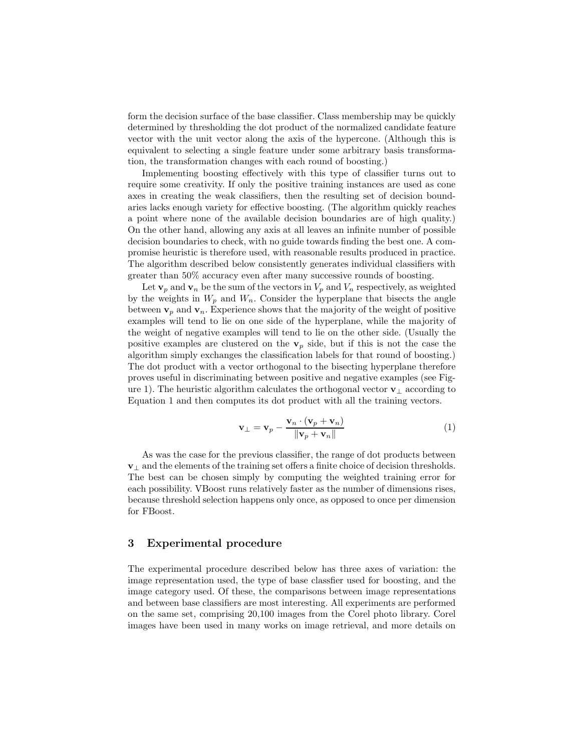form the decision surface of the base classifier. Class membership may be quickly determined by thresholding the dot product of the normalized candidate feature vector with the unit vector along the axis of the hypercone. (Although this is equivalent to selecting a single feature under some arbitrary basis transformation, the transformation changes with each round of boosting.)

Implementing boosting effectively with this type of classifier turns out to require some creativity. If only the positive training instances are used as cone axes in creating the weak classifiers, then the resulting set of decision boundaries lacks enough variety for effective boosting. (The algorithm quickly reaches a point where none of the available decision boundaries are of high quality.) On the other hand, allowing any axis at all leaves an infinite number of possible decision boundaries to check, with no guide towards finding the best one. A compromise heuristic is therefore used, with reasonable results produced in practice. The algorithm described below consistently generates individual classifiers with greater than 50% accuracy even after many successive rounds of boosting.

Let  $\mathbf{v}_p$  and  $\mathbf{v}_n$  be the sum of the vectors in  $V_p$  and  $V_n$  respectively, as weighted by the weights in  $W_p$  and  $W_n$ . Consider the hyperplane that bisects the angle between  $v_p$  and  $v_n$ . Experience shows that the majority of the weight of positive examples will tend to lie on one side of the hyperplane, while the majority of the weight of negative examples will tend to lie on the other side. (Usually the positive examples are clustered on the  $v_p$  side, but if this is not the case the algorithm simply exchanges the classification labels for that round of boosting.) The dot product with a vector orthogonal to the bisecting hyperplane therefore proves useful in discriminating between positive and negative examples (see Figure 1). The heuristic algorithm calculates the orthogonal vector  $\mathbf{v}_{\perp}$  according to Equation 1 and then computes its dot product with all the training vectors.

$$
\mathbf{v}_{\perp} = \mathbf{v}_p - \frac{\mathbf{v}_n \cdot (\mathbf{v}_p + \mathbf{v}_n)}{\|\mathbf{v}_p + \mathbf{v}_n\|} \tag{1}
$$

As was the case for the previous classifier, the range of dot products between  $\mathbf{v}_\perp$  and the elements of the training set offers a finite choice of decision thresholds. The best can be chosen simply by computing the weighted training error for each possibility. VBoost runs relatively faster as the number of dimensions rises, because threshold selection happens only once, as opposed to once per dimension for FBoost.

# 3 Experimental procedure

The experimental procedure described below has three axes of variation: the image representation used, the type of base classfier used for boosting, and the image category used. Of these, the comparisons between image representations and between base classifiers are most interesting. All experiments are performed on the same set, comprising 20,100 images from the Corel photo library. Corel images have been used in many works on image retrieval, and more details on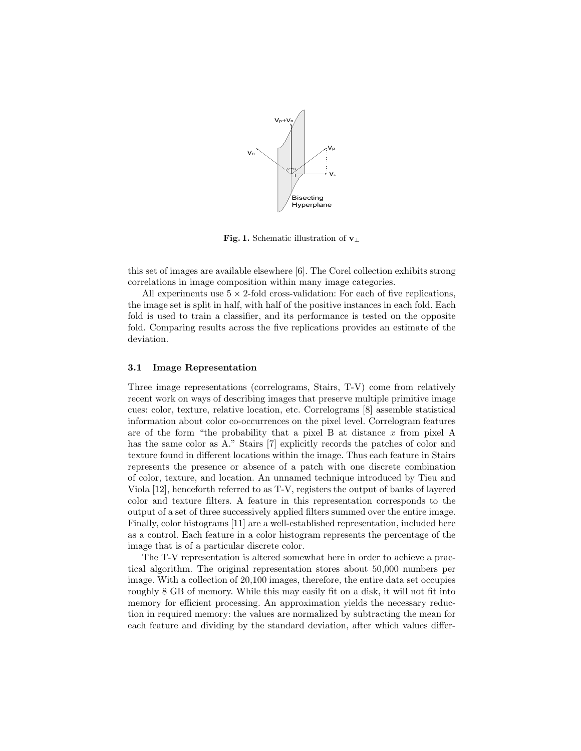

Fig. 1. Schematic illustration of  $v_{\perp}$ 

this set of images are available elsewhere [6]. The Corel collection exhibits strong correlations in image composition within many image categories.

All experiments use  $5 \times 2$ -fold cross-validation: For each of five replications, the image set is split in half, with half of the positive instances in each fold. Each fold is used to train a classifier, and its performance is tested on the opposite fold. Comparing results across the five replications provides an estimate of the deviation.

#### 3.1 Image Representation

Three image representations (correlograms, Stairs, T-V) come from relatively recent work on ways of describing images that preserve multiple primitive image cues: color, texture, relative location, etc. Correlograms [8] assemble statistical information about color co-occurrences on the pixel level. Correlogram features are of the form "the probability that a pixel B at distance  $x$  from pixel A has the same color as A." Stairs [7] explicitly records the patches of color and texture found in different locations within the image. Thus each feature in Stairs represents the presence or absence of a patch with one discrete combination of color, texture, and location. An unnamed technique introduced by Tieu and Viola [12], henceforth referred to as T-V, registers the output of banks of layered color and texture filters. A feature in this representation corresponds to the output of a set of three successively applied filters summed over the entire image. Finally, color histograms [11] are a well-established representation, included here as a control. Each feature in a color histogram represents the percentage of the image that is of a particular discrete color.

The T-V representation is altered somewhat here in order to achieve a practical algorithm. The original representation stores about 50,000 numbers per image. With a collection of 20,100 images, therefore, the entire data set occupies roughly 8 GB of memory. While this may easily fit on a disk, it will not fit into memory for efficient processing. An approximation yields the necessary reduction in required memory: the values are normalized by subtracting the mean for each feature and dividing by the standard deviation, after which values differ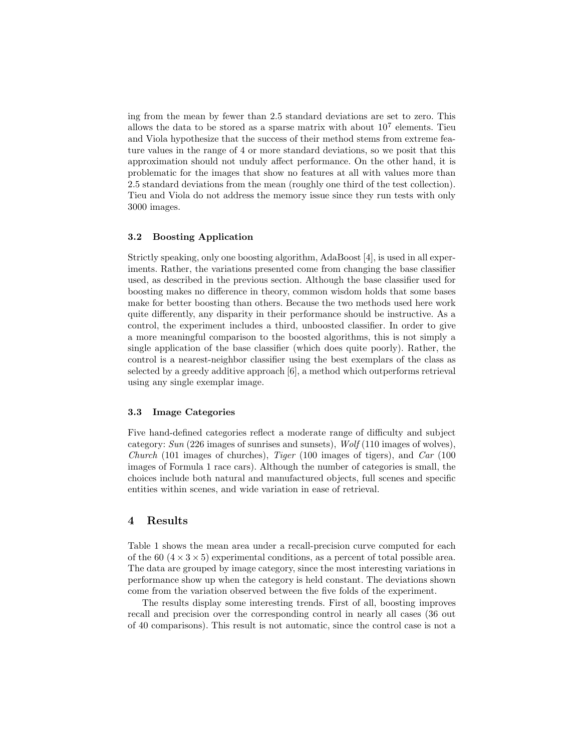ing from the mean by fewer than 2.5 standard deviations are set to zero. This allows the data to be stored as a sparse matrix with about  $10<sup>7</sup>$  elements. Tieu and Viola hypothesize that the success of their method stems from extreme feature values in the range of 4 or more standard deviations, so we posit that this approximation should not unduly affect performance. On the other hand, it is problematic for the images that show no features at all with values more than 2.5 standard deviations from the mean (roughly one third of the test collection). Tieu and Viola do not address the memory issue since they run tests with only 3000 images.

#### 3.2 Boosting Application

Strictly speaking, only one boosting algorithm, AdaBoost [4], is used in all experiments. Rather, the variations presented come from changing the base classifier used, as described in the previous section. Although the base classifier used for boosting makes no difference in theory, common wisdom holds that some bases make for better boosting than others. Because the two methods used here work quite differently, any disparity in their performance should be instructive. As a control, the experiment includes a third, unboosted classifier. In order to give a more meaningful comparison to the boosted algorithms, this is not simply a single application of the base classifier (which does quite poorly). Rather, the control is a nearest-neighbor classifier using the best exemplars of the class as selected by a greedy additive approach [6], a method which outperforms retrieval using any single exemplar image.

#### 3.3 Image Categories

Five hand-defined categories reflect a moderate range of difficulty and subject category: Sun (226 images of sunrises and sunsets), Wolf (110 images of wolves), Church (101 images of churches), Tiger (100 images of tigers), and Car (100 images of Formula 1 race cars). Although the number of categories is small, the choices include both natural and manufactured objects, full scenes and specific entities within scenes, and wide variation in ease of retrieval.

# 4 Results

Table 1 shows the mean area under a recall-precision curve computed for each of the 60  $(4 \times 3 \times 5)$  experimental conditions, as a percent of total possible area. The data are grouped by image category, since the most interesting variations in performance show up when the category is held constant. The deviations shown come from the variation observed between the five folds of the experiment.

The results display some interesting trends. First of all, boosting improves recall and precision over the corresponding control in nearly all cases (36 out of 40 comparisons). This result is not automatic, since the control case is not a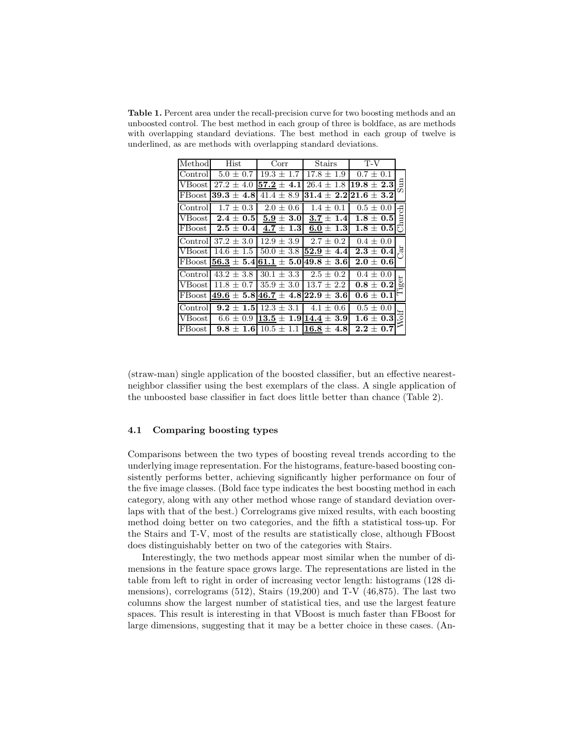Table 1. Percent area under the recall-precision curve for two boosting methods and an unboosted control. The best method in each group of three is boldface, as are methods with overlapping standard deviations. The best method in each group of twelve is underlined, as are methods with overlapping standard deviations.

| Method  | Hist                             | Corr                                                 | <b>Stairs</b>                 | T-V            |        |
|---------|----------------------------------|------------------------------------------------------|-------------------------------|----------------|--------|
| Control | $5.0 \pm 0.7$                    | $19.3 \pm 1.7$                                       | $17.8 + 1.9$                  | $0.7 \pm 0.1$  |        |
| VBoost  | $27.2 \pm 4.0$                   | $57.2 \ {\pm}$<br>4.1                                | $26.4 \pm 1.8$                | $19.8 \pm 2.3$ | $\sin$ |
| FBoost  | $39.3 \pm 4.8$                   | $41.4 \pm 8.9$                                       | $31.4 \pm 2.2$ $21.6 \pm 3.2$ |                |        |
| Control | $1.7 + 0.3$                      | $2.0 \pm 0.6$                                        | $1.4 + 0.1$                   | $0.5 \pm 0.0$  | 운      |
| VBoost  | $2.4\pm\,0.5$                    | $5.9 \pm 3.0$                                        | $3.7 \pm 1.4$                 | $1.8\pm0.5$    | Ě      |
| FBoost  | $2.5\pm\,0.4$                    | $\rm 4.7 \pm 1.3$                                    | 6.0<br>$\pm$ 1.3              | $1.8\pm0.5$    |        |
| Control | $37.2 \pm 3.0$                   | $12.9 \pm 3.9$                                       | $2.7 \pm 0.2$                 | $0.4 \pm 0.0$  |        |
| VBoost  | $14.6 \pm 1.5$                   | $50.0 \pm 3.8$                                       | $52.9 \pm 4.4$                | $2.3\pm0.4$    | re.    |
| FBoost  | $\textbf{56.3} \pm \textbf{5.4}$ | $\textbf{61.1} \pm \textbf{5.0}$                     | $\bf 49.8\pm\bf 3.6$          | $2.0\pm\,0.6$  |        |
| Control | $43.2 \pm 3.8$                   | $30.1 \pm 3.3$                                       | $2.5 \pm 0.2$                 | $0.4 \pm 0.0$  |        |
| VBoost  | $11.8 \pm 0.7$                   | $35.9 \pm 3.0$                                       | $13.7 + 2.2$                  | $0.8\pm\,0.2$  | iger   |
| FBoost  |                                  | $49.6 \pm 5.8$  46.7 $\pm \, 4.8$  22.9 $\pm \, 3.6$ |                               | $0.6 + 0.1$    |        |
| Control | $9.2 + 1.5$                      | $12.3 \pm 3.1$                                       | $4.1 + 0.6$                   | $0.5 \pm 0.0$  |        |
| VBoost  | $6.6 \pm$<br>0.9                 | $\textbf{13.5} \pm \textbf{1.9}$                     | $14.4 \pm 3.9$                | $1.6\pm\,0.3$  | Wolf   |
| FBoost  | $9.8 \pm 1.6$                    | $10.5 \pm$<br>1.1                                    | $16.8 \pm 4.8$                | $2.2\pm\,0.7$  |        |

(straw-man) single application of the boosted classifier, but an effective nearestneighbor classifier using the best exemplars of the class. A single application of the unboosted base classifier in fact does little better than chance (Table 2).

#### 4.1 Comparing boosting types

Comparisons between the two types of boosting reveal trends according to the underlying image representation. For the histograms, feature-based boosting consistently performs better, achieving significantly higher performance on four of the five image classes. (Bold face type indicates the best boosting method in each category, along with any other method whose range of standard deviation overlaps with that of the best.) Correlograms give mixed results, with each boosting method doing better on two categories, and the fifth a statistical toss-up. For the Stairs and T-V, most of the results are statistically close, although FBoost does distinguishably better on two of the categories with Stairs.

Interestingly, the two methods appear most similar when the number of dimensions in the feature space grows large. The representations are listed in the table from left to right in order of increasing vector length: histograms (128 dimensions), correlograms (512), Stairs (19,200) and T-V (46,875). The last two columns show the largest number of statistical ties, and use the largest feature spaces. This result is interesting in that VBoost is much faster than FBoost for large dimensions, suggesting that it may be a better choice in these cases. (An-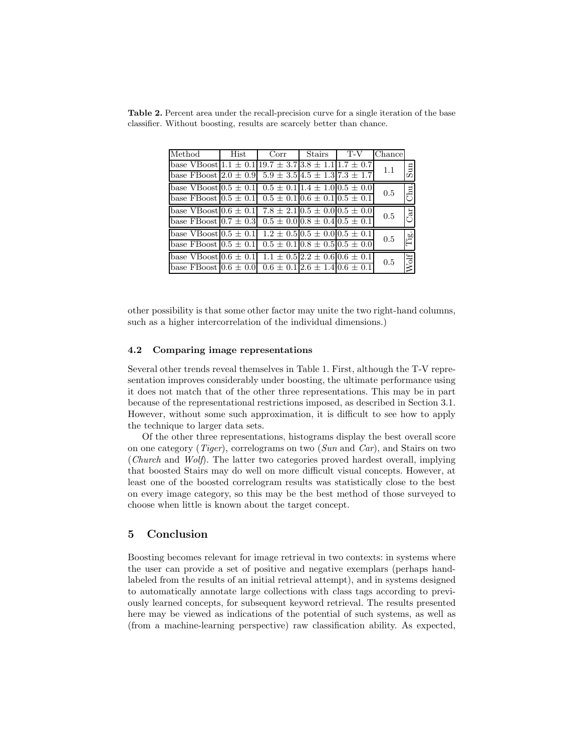| Method                                                                   | Hist | $\overline{\text{Corr}}$                   | <b>Stairs</b>                                           | $T-V$ | Chance |        |
|--------------------------------------------------------------------------|------|--------------------------------------------|---------------------------------------------------------|-------|--------|--------|
| base VBoost $1.1 \pm 0.1119.7 \pm 3.713.8 \pm 1.111.7 \pm 0.71$          |      |                                            |                                                         |       | 1.1    | $\sin$ |
| base FBoost $2.0 \pm 0.9$ 5.9 $\pm 3.5$ 4.5 $\pm 1.3$ 7.3 $\pm 1.7$      |      |                                            |                                                         |       |        |        |
| base VBoost $0.5 \pm 0.1$ $0.5 \pm 0.1$ $1.4 \pm 1.0$ $0.5 \pm 0.0$      |      |                                            |                                                         |       | 0.5    | Chu.   |
| base FBoost $ 0.5 \pm 0.1 $                                              |      |                                            | $0.5 \pm 0.1   0.6 \pm 0.1   0.5 \pm 0.1$               |       |        |        |
| base VBoost $0.6 \pm 0.1$                                                |      |                                            | $7.8 \pm 2.1   0.5 \pm 0.0   0.5 \pm 0.0  $             |       | 0.5    | Car    |
| base FBoost $[0.7 \pm 0.3]$                                              |      |                                            | $0.5 \pm 0.0$ $0.8 \pm 0.4$ $0.5 \pm 0.1$               |       |        |        |
| base VBoost $0.5 \pm 0.11$ $1.2 \pm 0.5$ $0.5 \pm 0.0$ $0.5 \pm 0.1$     |      |                                            |                                                         |       | 0.5    | Γig.   |
| base FBoost $ 0.5 \pm 0.1 $                                              |      |                                            | $0.5 \pm 0.1$ $\mid$ 0.8 $\pm$ 0.5 $\mid$ 0.5 $\pm$ 0.0 |       |        |        |
| base VBoost $0.6 \pm 0.1$                                                |      | $1.1 \pm 0.5$  2.2 $\pm$ 0.6 0.6 $\pm$ 0.1 |                                                         |       | 0.5    | Wolf   |
| base FBoost $[0.6 \pm 0.0]$ $0.6 \pm 0.1]$ $2.6 \pm 1.4$ $[0.6 \pm 0.1]$ |      |                                            |                                                         |       |        |        |

Table 2. Percent area under the recall-precision curve for a single iteration of the base classifier. Without boosting, results are scarcely better than chance.

other possibility is that some other factor may unite the two right-hand columns, such as a higher intercorrelation of the individual dimensions.)

#### 4.2 Comparing image representations

Several other trends reveal themselves in Table 1. First, although the T-V representation improves considerably under boosting, the ultimate performance using it does not match that of the other three representations. This may be in part because of the representational restrictions imposed, as described in Section 3.1. However, without some such approximation, it is difficult to see how to apply the technique to larger data sets.

Of the other three representations, histograms display the best overall score on one category (*Tiger*), correlograms on two (*Sun* and *Car*), and Stairs on two (Church and Wolf). The latter two categories proved hardest overall, implying that boosted Stairs may do well on more difficult visual concepts. However, at least one of the boosted correlogram results was statistically close to the best on every image category, so this may be the best method of those surveyed to choose when little is known about the target concept.

# 5 Conclusion

Boosting becomes relevant for image retrieval in two contexts: in systems where the user can provide a set of positive and negative exemplars (perhaps handlabeled from the results of an initial retrieval attempt), and in systems designed to automatically annotate large collections with class tags according to previously learned concepts, for subsequent keyword retrieval. The results presented here may be viewed as indications of the potential of such systems, as well as (from a machine-learning perspective) raw classification ability. As expected,